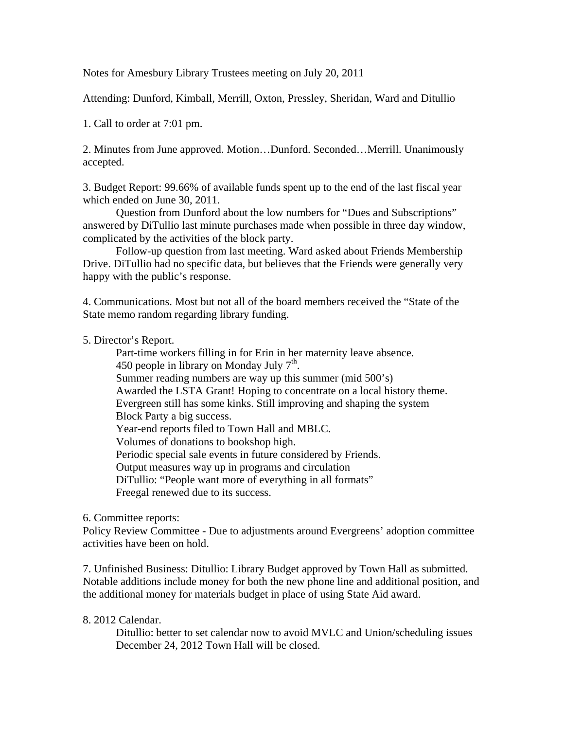Notes for Amesbury Library Trustees meeting on July 20, 2011

Attending: Dunford, Kimball, Merrill, Oxton, Pressley, Sheridan, Ward and Ditullio

1. Call to order at 7:01 pm.

2. Minutes from June approved. Motion…Dunford. Seconded…Merrill. Unanimously accepted.

3. Budget Report: 99.66% of available funds spent up to the end of the last fiscal year which ended on June 30, 2011.

Question from Dunford about the low numbers for "Dues and Subscriptions" answered by DiTullio last minute purchases made when possible in three day window, complicated by the activities of the block party.

Follow-up question from last meeting. Ward asked about Friends Membership Drive. DiTullio had no specific data, but believes that the Friends were generally very happy with the public's response.

4. Communications. Most but not all of the board members received the "State of the State memo random regarding library funding.

5. Director's Report.

 Part-time workers filling in for Erin in her maternity leave absence. 450 people in library on Monday July  $7<sup>th</sup>$ . Summer reading numbers are way up this summer (mid 500's) Awarded the LSTA Grant! Hoping to concentrate on a local history theme. Evergreen still has some kinks. Still improving and shaping the system Block Party a big success. Year-end reports filed to Town Hall and MBLC. Volumes of donations to bookshop high. Periodic special sale events in future considered by Friends. Output measures way up in programs and circulation DiTullio: "People want more of everything in all formats" Freegal renewed due to its success.

6. Committee reports:

Policy Review Committee - Due to adjustments around Evergreens' adoption committee activities have been on hold.

7. Unfinished Business: Ditullio: Library Budget approved by Town Hall as submitted. Notable additions include money for both the new phone line and additional position, and the additional money for materials budget in place of using State Aid award.

## 8. 2012 Calendar.

 Ditullio: better to set calendar now to avoid MVLC and Union/scheduling issues December 24, 2012 Town Hall will be closed.